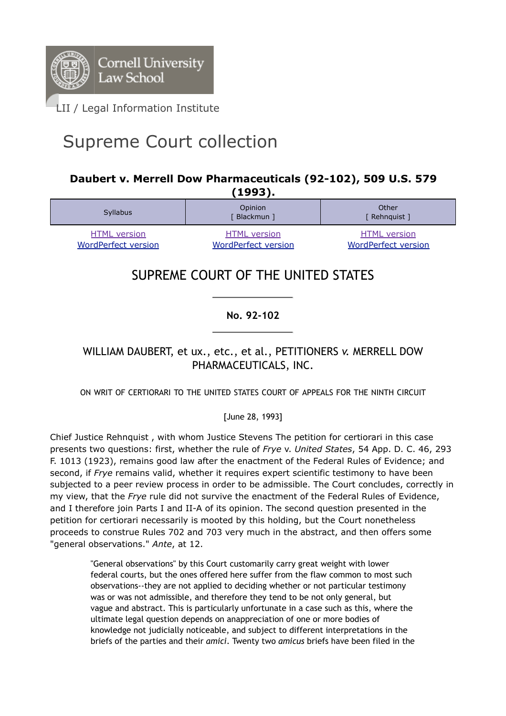

# Supreme Court collection

## **Daubert v. Merrell Dow Pharmaceuticals (92-102), 509 U.S. 579 (1993).**

| -----                                             |                                                   |                                                   |
|---------------------------------------------------|---------------------------------------------------|---------------------------------------------------|
| <b>Syllabus</b>                                   | Opinion<br>Blackmun ]                             | Other<br>[ Rehnquist ]                            |
| <b>HTML</b> version<br><b>WordPerfect version</b> | <b>HTML</b> version<br><b>WordPerfect version</b> | <b>HTML</b> version<br><b>WordPerfect version</b> |

## SUPREME COURT OF THE UNITED STATES

**No. 92-102**

## WILLIAM DAUBERT, et ux., etc., et al., PETITIONERS *v.* MERRELL DOW PHARMACEUTICALS, INC.

### ON WRIT OF CERTIORARI TO THE UNITED STATES COURT OF APPEALS FOR THE NINTH CIRCUIT

### [June 28, 1993]

Chief Justice Rehnquist , with whom Justice Stevens The petition for certiorari in this case presents two questions: first, whether the rule of *Frye* v. *United States*, 54 App. D. C. 46, 293 F. 1013 (1923), remains good law after the enactment of the Federal Rules of Evidence; and second, if *Frye* remains valid, whether it requires expert scientific testimony to have been subjected to a peer review process in order to be admissible. The Court concludes, correctly in my view, that the *Frye* rule did not survive the enactment of the Federal Rules of Evidence, and I therefore join Parts I and II-A of its opinion. The second question presented in the petition for certiorari necessarily is mooted by this holding, but the Court nonetheless proceeds to construe Rules 702 and 703 very much in the abstract, and then offers some "general observations." *Ante*, at 12.

> "General observations" by this Court customarily carry great weight with lower federal courts, but the ones offered here suffer from the flaw common to most such observations--they are not applied to deciding whether or not particular testimony was or was not admissible, and therefore they tend to be not only general, but vague and abstract. This is particularly unfortunate in a case such as this, where the ultimate legal question depends on anappreciation of one or more bodies of knowledge not judicially noticeable, and subject to different interpretations in the briefs of the parties and their *amici*. Twenty two *amicus* briefs have been filed in the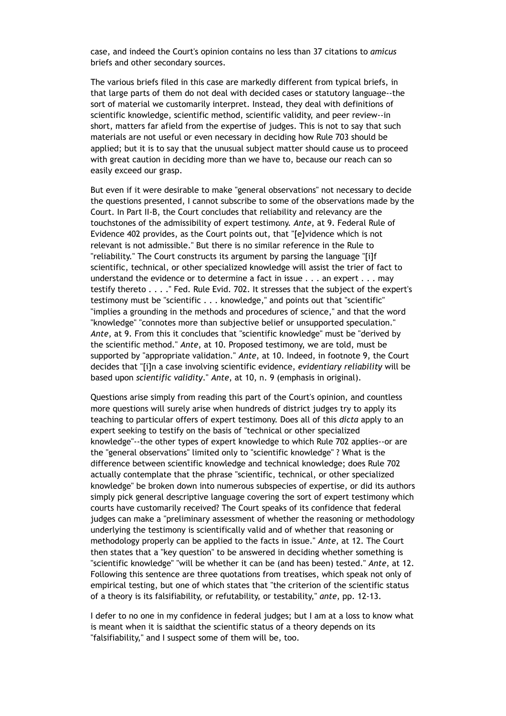case, and indeed the Court's opinion contains no less than 37 citations to *amicus* briefs and other secondary sources.

The various briefs filed in this case are markedly different from typical briefs, in that large parts of them do not deal with decided cases or statutory language--the sort of material we customarily interpret. Instead, they deal with definitions of scientific knowledge, scientific method, scientific validity, and peer review--in short, matters far afield from the expertise of judges. This is not to say that such materials are not useful or even necessary in deciding how Rule 703 should be applied; but it is to say that the unusual subject matter should cause us to proceed with great caution in deciding more than we have to, because our reach can so easily exceed our grasp.

But even if it were desirable to make "general observations" not necessary to decide the questions presented, I cannot subscribe to some of the observations made by the Court. In Part II-B, the Court concludes that reliability and relevancy are the touchstones of the admissibility of expert testimony. *Ante*, at 9. Federal Rule of Evidence 402 provides, as the Court points out, that "[e]vidence which is not relevant is not admissible." But there is no similar reference in the Rule to "reliability." The Court constructs its argument by parsing the language "[i]f scientific, technical, or other specialized knowledge will assist the trier of fact to understand the evidence or to determine a fact in issue . . . an expert . . . may testify thereto . . . ." Fed. Rule Evid. 702. It stresses that the subject of the expert's testimony must be "scientific . . . knowledge," and points out that "scientific" "implies a grounding in the methods and procedures of science," and that the word "knowledge" "connotes more than subjective belief or unsupported speculation." *Ante*, at 9. From this it concludes that "scientific knowledge" must be "derived by the scientific method." *Ante*, at 10. Proposed testimony, we are told, must be supported by "appropriate validation." *Ante*, at 10. Indeed, in footnote 9, the Court decides that "[i]n a case involving scientific evidence, *evidentiary reliability* will be based upon *scientific validity*." *Ante*, at 10, n. 9 (emphasis in original).

Questions arise simply from reading this part of the Court's opinion, and countless more questions will surely arise when hundreds of district judges try to apply its teaching to particular offers of expert testimony. Does all of this *dicta* apply to an expert seeking to testify on the basis of "technical or other specialized knowledge"--the other types of expert knowledge to which Rule 702 applies--or are the "general observations" limited only to "scientific knowledge" ? What is the difference between scientific knowledge and technical knowledge; does Rule 702 actually contemplate that the phrase "scientific, technical, or other specialized knowledge" be broken down into numerous subspecies of expertise, or did its authors simply pick general descriptive language covering the sort of expert testimony which courts have customarily received? The Court speaks of its confidence that federal judges can make a "preliminary assessment of whether the reasoning or methodology underlying the testimony is scientifically valid and of whether that reasoning or methodology properly can be applied to the facts in issue." *Ante*, at 12. The Court then states that a "key question" to be answered in deciding whether something is "scientific knowledge" "will be whether it can be (and has been) tested." *Ante*, at 12. Following this sentence are three quotations from treatises, which speak not only of empirical testing, but one of which states that "the criterion of the scientific status of a theory is its falsifiability, or refutability, or testability," *ante*, pp. 12-13.

I defer to no one in my confidence in federal judges; but I am at a loss to know what is meant when it is saidthat the scientific status of a theory depends on its "falsifiability," and I suspect some of them will be, too.